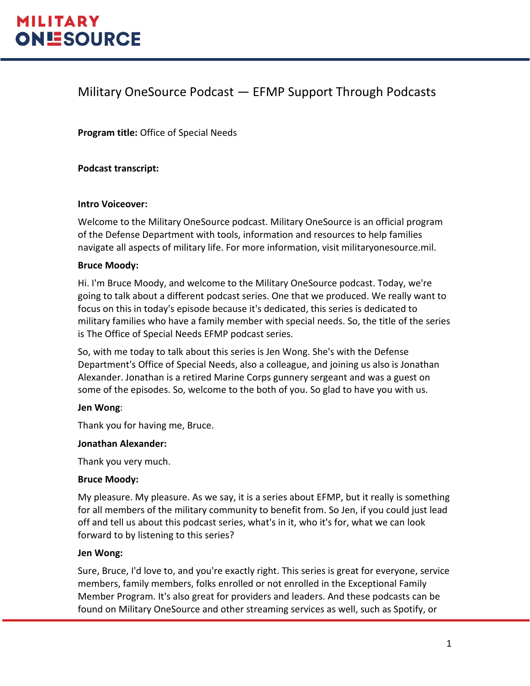# Military OneSource Podcast — EFMP Support Through Podcasts

**Program title:** Office of Special Needs

**Podcast transcript:**

### **Intro Voiceover:**

Welcome to the Military OneSource podcast. Military OneSource is an official program of the Defense Department with tools, information and resources to help families navigate all aspects of military life. For more information, visit militaryonesource.mil.

# **Bruce Moody:**

Hi. I'm Bruce Moody, and welcome to the Military OneSource podcast. Today, we're going to talk about a different podcast series. One that we produced. We really want to focus on this in today's episode because it's dedicated, this series is dedicated to military families who have a family member with special needs. So, the title of the series is The Office of Special Needs EFMP podcast series.

So, with me today to talk about this series is Jen Wong. She's with the Defense Department's Office of Special Needs, also a colleague, and joining us also is Jonathan Alexander. Jonathan is a retired Marine Corps gunnery sergeant and was a guest on some of the episodes. So, welcome to the both of you. So glad to have you with us.

# **Jen Wong**:

Thank you for having me, Bruce.

### **Jonathan Alexander:**

Thank you very much.

### **Bruce Moody:**

My pleasure. My pleasure. As we say, it is a series about EFMP, but it really is something for all members of the military community to benefit from. So Jen, if you could just lead off and tell us about this podcast series, what's in it, who it's for, what we can look forward to by listening to this series?

# **Jen Wong:**

Sure, Bruce, I'd love to, and you're exactly right. This series is great for everyone, service members, family members, folks enrolled or not enrolled in the Exceptional Family Member Program. It's also great for providers and leaders. And these podcasts can be found on Military OneSource and other streaming services as well, such as Spotify, or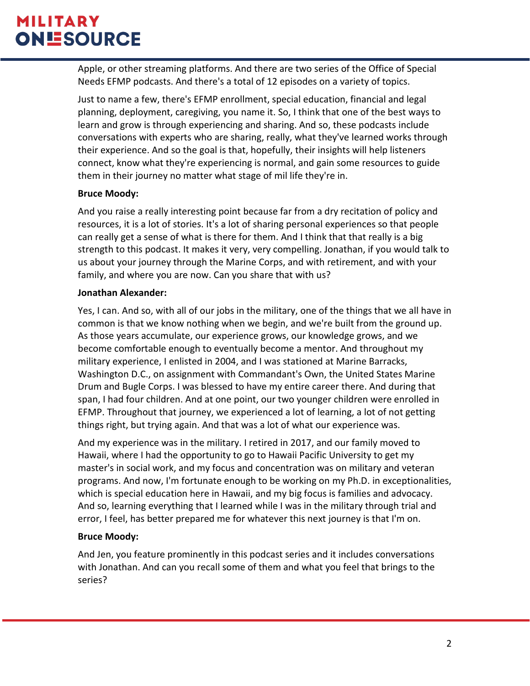Apple, or other streaming platforms. And there are two series of the Office of Special Needs EFMP podcasts. And there's a total of 12 episodes on a variety of topics.

Just to name a few, there's EFMP enrollment, special education, financial and legal planning, deployment, caregiving, you name it. So, I think that one of the best ways to learn and grow is through experiencing and sharing. And so, these podcasts include conversations with experts who are sharing, really, what they've learned works through their experience. And so the goal is that, hopefully, their insights will help listeners connect, know what they're experiencing is normal, and gain some resources to guide them in their journey no matter what stage of mil life they're in.

# **Bruce Moody:**

And you raise a really interesting point because far from a dry recitation of policy and resources, it is a lot of stories. It's a lot of sharing personal experiences so that people can really get a sense of what is there for them. And I think that that really is a big strength to this podcast. It makes it very, very compelling. Jonathan, if you would talk to us about your journey through the Marine Corps, and with retirement, and with your family, and where you are now. Can you share that with us?

# **Jonathan Alexander:**

Yes, I can. And so, with all of our jobs in the military, one of the things that we all have in common is that we know nothing when we begin, and we're built from the ground up. As those years accumulate, our experience grows, our knowledge grows, and we become comfortable enough to eventually become a mentor. And throughout my military experience, I enlisted in 2004, and I was stationed at Marine Barracks, Washington D.C., on assignment with Commandant's Own, the United States Marine Drum and Bugle Corps. I was blessed to have my entire career there. And during that span, I had four children. And at one point, our two younger children were enrolled in EFMP. Throughout that journey, we experienced a lot of learning, a lot of not getting things right, but trying again. And that was a lot of what our experience was.

And my experience was in the military. I retired in 2017, and our family moved to Hawaii, where I had the opportunity to go to Hawaii Pacific University to get my master's in social work, and my focus and concentration was on military and veteran programs. And now, I'm fortunate enough to be working on my Ph.D. in exceptionalities, which is special education here in Hawaii, and my big focus is families and advocacy. And so, learning everything that I learned while I was in the military through trial and error, I feel, has better prepared me for whatever this next journey is that I'm on.

# **Bruce Moody:**

And Jen, you feature prominently in this podcast series and it includes conversations with Jonathan. And can you recall some of them and what you feel that brings to the series?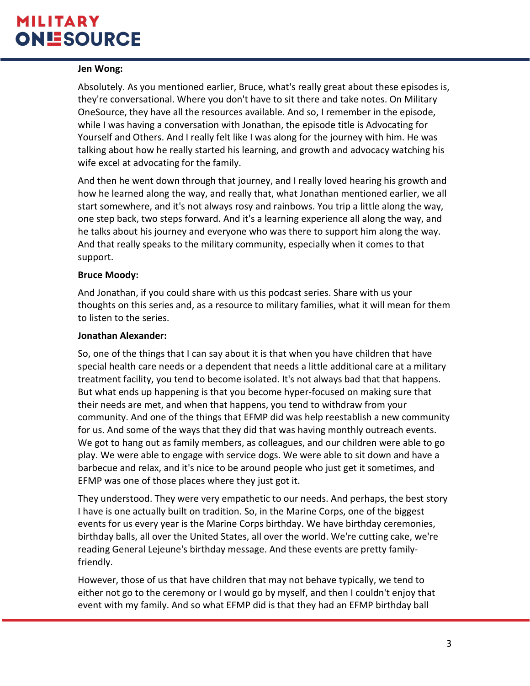#### **Jen Wong:**

Absolutely. As you mentioned earlier, Bruce, what's really great about these episodes is, they're conversational. Where you don't have to sit there and take notes. On Military OneSource, they have all the resources available. And so, I remember in the episode, while I was having a conversation with Jonathan, the episode title is Advocating for Yourself and Others. And I really felt like I was along for the journey with him. He was talking about how he really started his learning, and growth and advocacy watching his wife excel at advocating for the family.

And then he went down through that journey, and I really loved hearing his growth and how he learned along the way, and really that, what Jonathan mentioned earlier, we all start somewhere, and it's not always rosy and rainbows. You trip a little along the way, one step back, two steps forward. And it's a learning experience all along the way, and he talks about his journey and everyone who was there to support him along the way. And that really speaks to the military community, especially when it comes to that support.

### **Bruce Moody:**

And Jonathan, if you could share with us this podcast series. Share with us your thoughts on this series and, as a resource to military families, what it will mean for them to listen to the series.

### **Jonathan Alexander:**

So, one of the things that I can say about it is that when you have children that have special health care needs or a dependent that needs a little additional care at a military treatment facility, you tend to become isolated. It's not always bad that that happens. But what ends up happening is that you become hyper-focused on making sure that their needs are met, and when that happens, you tend to withdraw from your community. And one of the things that EFMP did was help reestablish a new community for us. And some of the ways that they did that was having monthly outreach events. We got to hang out as family members, as colleagues, and our children were able to go play. We were able to engage with service dogs. We were able to sit down and have a barbecue and relax, and it's nice to be around people who just get it sometimes, and EFMP was one of those places where they just got it.

They understood. They were very empathetic to our needs. And perhaps, the best story I have is one actually built on tradition. So, in the Marine Corps, one of the biggest events for us every year is the Marine Corps birthday. We have birthday ceremonies, birthday balls, all over the United States, all over the world. We're cutting cake, we're reading General Lejeune's birthday message. And these events are pretty familyfriendly.

However, those of us that have children that may not behave typically, we tend to either not go to the ceremony or I would go by myself, and then I couldn't enjoy that event with my family. And so what EFMP did is that they had an EFMP birthday ball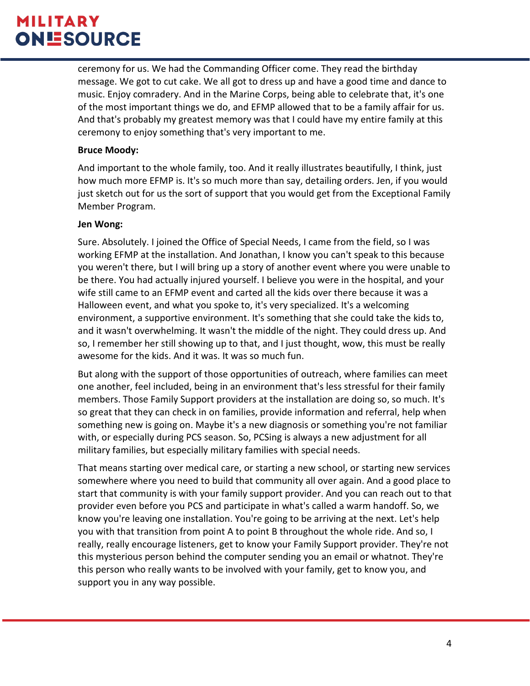ceremony for us. We had the Commanding Officer come. They read the birthday message. We got to cut cake. We all got to dress up and have a good time and dance to music. Enjoy comradery. And in the Marine Corps, being able to celebrate that, it's one of the most important things we do, and EFMP allowed that to be a family affair for us. And that's probably my greatest memory was that I could have my entire family at this ceremony to enjoy something that's very important to me.

### **Bruce Moody:**

And important to the whole family, too. And it really illustrates beautifully, I think, just how much more EFMP is. It's so much more than say, detailing orders. Jen, if you would just sketch out for us the sort of support that you would get from the Exceptional Family Member Program.

### **Jen Wong:**

Sure. Absolutely. I joined the Office of Special Needs, I came from the field, so I was working EFMP at the installation. And Jonathan, I know you can't speak to this because you weren't there, but I will bring up a story of another event where you were unable to be there. You had actually injured yourself. I believe you were in the hospital, and your wife still came to an EFMP event and carted all the kids over there because it was a Halloween event, and what you spoke to, it's very specialized. It's a welcoming environment, a supportive environment. It's something that she could take the kids to, and it wasn't overwhelming. It wasn't the middle of the night. They could dress up. And so, I remember her still showing up to that, and I just thought, wow, this must be really awesome for the kids. And it was. It was so much fun.

But along with the support of those opportunities of outreach, where families can meet one another, feel included, being in an environment that's less stressful for their family members. Those Family Support providers at the installation are doing so, so much. It's so great that they can check in on families, provide information and referral, help when something new is going on. Maybe it's a new diagnosis or something you're not familiar with, or especially during PCS season. So, PCSing is always a new adjustment for all military families, but especially military families with special needs.

That means starting over medical care, or starting a new school, or starting new services somewhere where you need to build that community all over again. And a good place to start that community is with your family support provider. And you can reach out to that provider even before you PCS and participate in what's called a warm handoff. So, we know you're leaving one installation. You're going to be arriving at the next. Let's help you with that transition from point A to point B throughout the whole ride. And so, I really, really encourage listeners, get to know your Family Support provider. They're not this mysterious person behind the computer sending you an email or whatnot. They're this person who really wants to be involved with your family, get to know you, and support you in any way possible.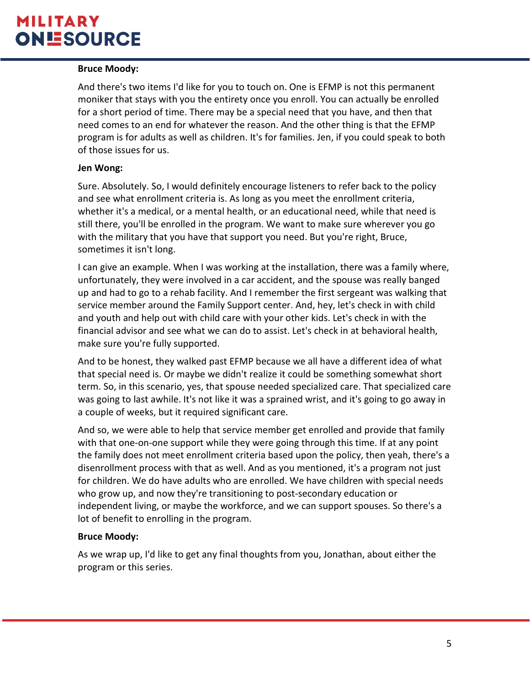#### **Bruce Moody:**

And there's two items I'd like for you to touch on. One is EFMP is not this permanent moniker that stays with you the entirety once you enroll. You can actually be enrolled for a short period of time. There may be a special need that you have, and then that need comes to an end for whatever the reason. And the other thing is that the EFMP program is for adults as well as children. It's for families. Jen, if you could speak to both of those issues for us.

#### **Jen Wong:**

Sure. Absolutely. So, I would definitely encourage listeners to refer back to the policy and see what enrollment criteria is. As long as you meet the enrollment criteria, whether it's a medical, or a mental health, or an educational need, while that need is still there, you'll be enrolled in the program. We want to make sure wherever you go with the military that you have that support you need. But you're right, Bruce, sometimes it isn't long.

I can give an example. When I was working at the installation, there was a family where, unfortunately, they were involved in a car accident, and the spouse was really banged up and had to go to a rehab facility. And I remember the first sergeant was walking that service member around the Family Support center. And, hey, let's check in with child and youth and help out with child care with your other kids. Let's check in with the financial advisor and see what we can do to assist. Let's check in at behavioral health, make sure you're fully supported.

And to be honest, they walked past EFMP because we all have a different idea of what that special need is. Or maybe we didn't realize it could be something somewhat short term. So, in this scenario, yes, that spouse needed specialized care. That specialized care was going to last awhile. It's not like it was a sprained wrist, and it's going to go away in a couple of weeks, but it required significant care.

And so, we were able to help that service member get enrolled and provide that family with that one-on-one support while they were going through this time. If at any point the family does not meet enrollment criteria based upon the policy, then yeah, there's a disenrollment process with that as well. And as you mentioned, it's a program not just for children. We do have adults who are enrolled. We have children with special needs who grow up, and now they're transitioning to post-secondary education or independent living, or maybe the workforce, and we can support spouses. So there's a lot of benefit to enrolling in the program.

### **Bruce Moody:**

As we wrap up, I'd like to get any final thoughts from you, Jonathan, about either the program or this series.